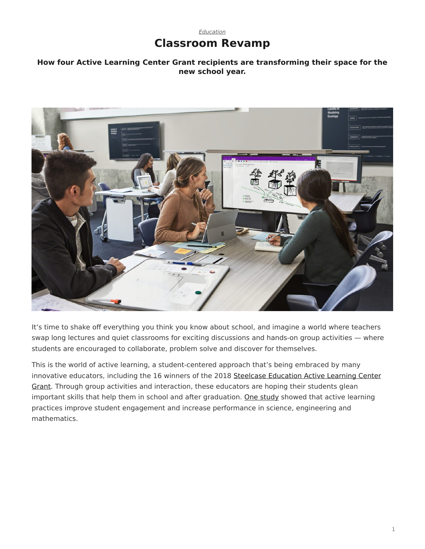# *[Education](https://www.steelcase.com/research/topics/education/)* **Classroom Revamp**

### <span id="page-0-0"></span>**How four Active Learning Center Grant recipients are transforming their space for the new school year.**



It's time to shake off everything you think you know about school, and imagine a world where teachers swap long lectures and quiet classrooms for exciting discussions and hands-on group activities — where students are encouraged to collaborate, problem solve and discover for themselves.

This is the world of active learning, a student-centered approach that's being embraced by many innovative educators, including the 16 winners of the 2018 [Steelcase Education Active Learning Center](https://www.steelcase.com/discover/information/education/active-learning-center-grant/) [Grant](https://www.steelcase.com/discover/information/education/active-learning-center-grant/). Through group activities and interaction, these educators are hoping their students glean important skills that help them in school and after graduation. [One study](http://www.pnas.org/content/pnas/111/23/8410.full.pdf) showed that active learning practices improve student engagement and increase performance in science, engineering and mathematics.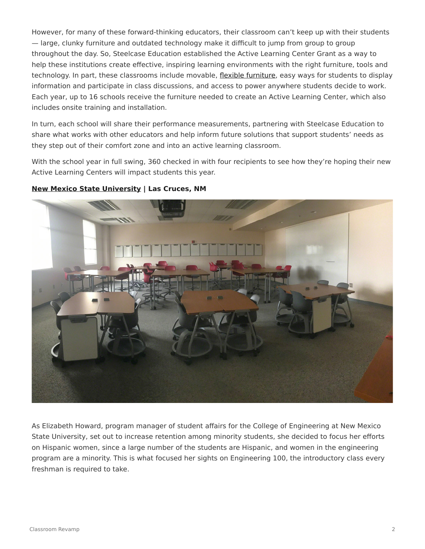However, for many of these forward-thinking educators, their classroom can't keep up with their students — large, clunky furniture and outdated technology make it difficult to jump from group to group throughout the day. So, Steelcase Education established the Active Learning Center Grant as a way to help these institutions create effective, inspiring learning environments with the right furniture, tools and technology. In part, these classrooms include movable, [flexible furniture](https://www.steelcase.com/products/collaborative-chairs/node/), easy ways for students to display information and participate in class discussions, and access to power anywhere students decide to work. Each year, up to 16 schools receive the furniture needed to create an Active Learning Center, which also includes onsite training and installation.

In turn, each school will share their performance measurements, partnering with Steelcase Education to share what works with other educators and help inform future solutions that support students' needs as they step out of their comfort zone and into an active learning classroom.

With the school year in full swing, 360 checked in with four recipients to see how they're hoping their new Active Learning Centers will impact students this year.



#### **[New Mexico State University](https://nmsu.edu/) | Las Cruces, NM**

As Elizabeth Howard, program manager of student affairs for the College of Engineering at New Mexico State University, set out to increase retention among minority students, she decided to focus her efforts on Hispanic women, since a large number of the students are Hispanic, and women in the engineering program are a minority. This is what focused her sights on Engineering 100, the introductory class every freshman is required to take.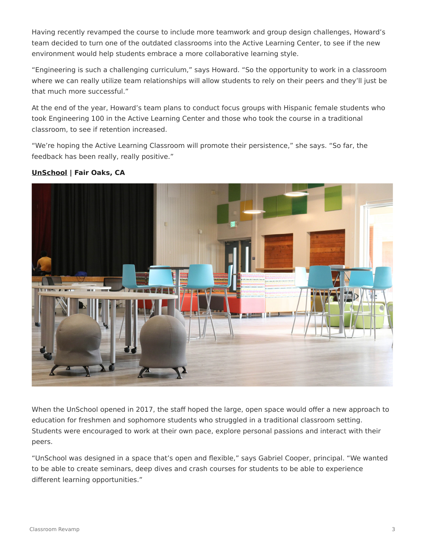Having recently revamped the course to include more teamwork and group design challenges, Howard's team decided to turn one of the outdated classrooms into the Active Learning Center, to see if the new environment would help students embrace a more collaborative learning style.

"Engineering is such a challenging curriculum," says Howard. "So the opportunity to work in a classroom where we can really utilize team relationships will allow students to rely on their peers and they'll just be that much more successful."

At the end of the year, Howard's team plans to conduct focus groups with Hispanic female students who took Engineering 100 in the Active Learning Center and those who took the course in a traditional classroom, to see if retention increased.

"We're hoping the Active Learning Classroom will promote their persistence," she says. "So far, the feedback has been really, really positive."

### **[UnSchool](https://www.sanjuan.edu/unschool) | Fair Oaks, CA**

When the UnSchool opened in 2017, the staff hoped the large, open space would offer a new approach to education for freshmen and sophomore students who struggled in a traditional classroom setting. Students were encouraged to work at their own pace, explore personal passions and interact with their peers.

"UnSchool was designed in a space that's open and flexible," says Gabriel Cooper, principal. "We wanted to be able to create seminars, deep dives and crash courses for students to be able to experience different learning opportunities."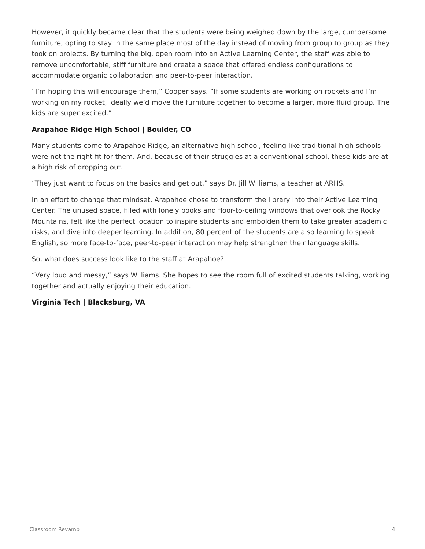However, it quickly became clear that the students were being weighed down by the large, cumbersome furniture, opting to stay in the same place most of the day instead of moving from group to group as they took on projects. By turning the big, open room into an Active Learning Center, the staff was able to remove uncomfortable, stiff furniture and create a space that offered endless configurations to accommodate organic collaboration and peer-to-peer interaction.

"I'm hoping this will encourage them," Cooper says. "If some students are working on rockets and I'm working on my rocket, ideally we'd move the furniture together to become a larger, more fluid group. The kids are super excited."

#### **[Arapahoe Ridge High School](https://arh.bvsd.org/Pages/default.aspx) | Boulder, CO**

Many students come to Arapahoe Ridge, an alternative high school, feeling like traditional high schools were not the right fit for them. And, because of their struggles at a conventional school, these kids are at a high risk of dropping out.

"They just want to focus on the basics and get out," says Dr. Jill Williams, a teacher at ARHS.

In an effort to change that mindset, Arapahoe chose to transform the library into their Active Learning Center. The unused space, filled with lonely books and floor-to-ceiling windows that overlook the Rocky Mountains, felt like the perfect location to inspire students and embolden them to take greater academic risks, and dive into deeper learning. In addition, 80 percent of the students are also learning to speak English, so more face-to-face, peer-to-peer interaction may help strengthen their language skills.

So, what does success look like to the staff at Arapahoe?

"Very loud and messy," says Williams. She hopes to see the room full of excited students talking, working together and actually enjoying their education.

#### **[Virginia Tech](https://vt.edu/) | Blacksburg, VA**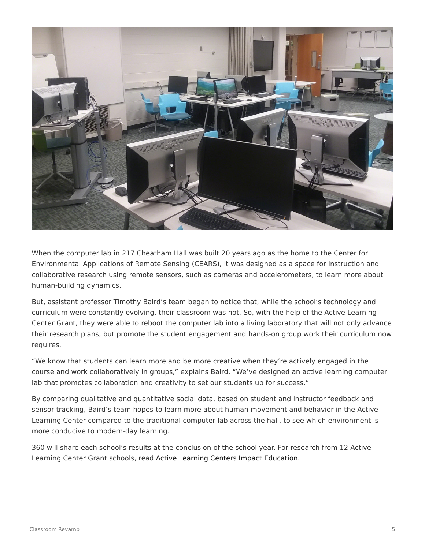

When the computer lab in 217 Cheatham Hall was built 20 years ago as the home to the Center for Environmental Applications of Remote Sensing (CEARS), it was designed as a space for instruction and collaborative research using remote sensors, such as cameras and accelerometers, to learn more about human-building dynamics.

But, assistant professor Timothy Baird's team began to notice that, while the school's technology and curriculum were constantly evolving, their classroom was not. So, with the help of the Active Learning Center Grant, they were able to reboot the computer lab into a living laboratory that will not only advance their research plans, but promote the student engagement and hands-on group work their curriculum now requires.

"We know that students can learn more and be more creative when they're actively engaged in the course and work collaboratively in groups," explains Baird. "We've designed an active learning computer lab that promotes collaboration and creativity to set our students up for success."

By comparing qualitative and quantitative social data, based on student and instructor feedback and sensor tracking, Baird's team hopes to learn more about human movement and behavior in the Active Learning Center compared to the traditional computer lab across the hall, to see which environment is more conducive to modern-day learning.

360 will share each school's results at the conclusion of the school year. For research from 12 Active Learning Center Grant schools, read [Active Learning Centers Impact Education](https://www.steelcase.com/research/articles/topics/classroom-design/impact-on-education-in-active-learning-centers/).